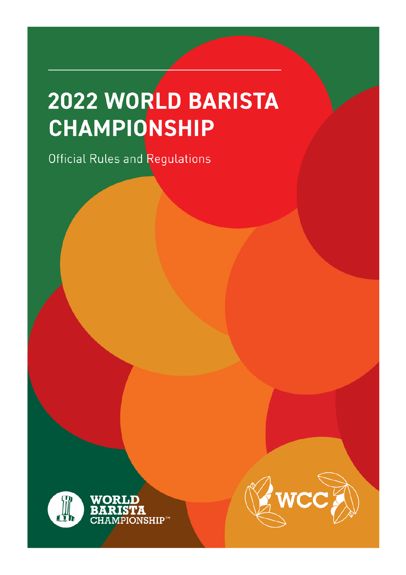# 2022 WORLD BARISTA CHAMPIONSHIP

Official Rules and Regulations



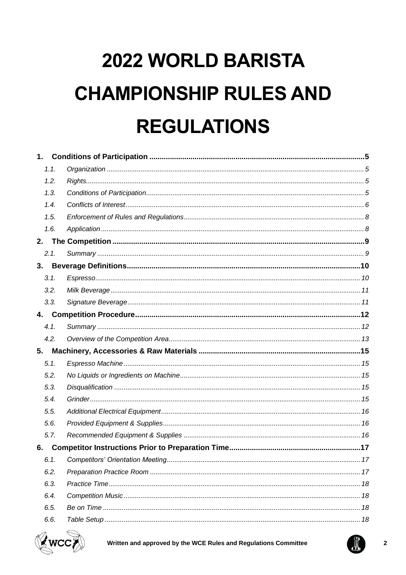# 2022 WORLD BARISTA **CHAMPIONSHIP RULES AND REGULATIONS**

| 1.   |  |
|------|--|
| 1.1. |  |
| 1.2. |  |
| 1.3. |  |
| 1.4. |  |
| 1.5. |  |
| 1.6. |  |
|      |  |
| 2.1. |  |
|      |  |
| 3.1. |  |
| 3.2. |  |
| 3.3. |  |
|      |  |
| 4.1. |  |
| 4.2. |  |
| 5.   |  |
| 5.1. |  |
| 5.2. |  |
| 5.3. |  |
| 5.4. |  |
| 5.5. |  |
| 5.6. |  |
| 5.7. |  |
| 6.   |  |
| 6.1. |  |
| 6.2. |  |
| 6.3. |  |
| 6.4. |  |
| 6.5. |  |
| 6.6. |  |



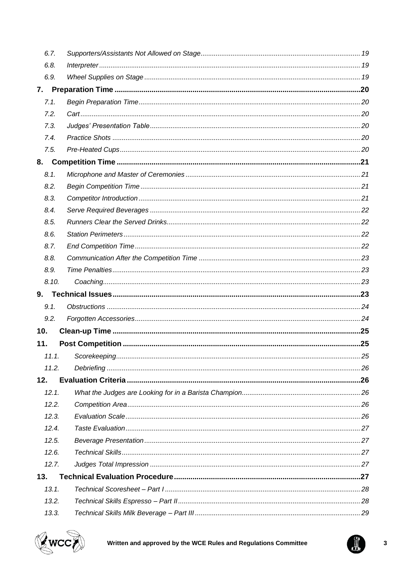| 6.7.  |  |
|-------|--|
| 6.8.  |  |
| 6.9.  |  |
| 7.    |  |
| 7.1.  |  |
| 7.2.  |  |
| 7.3.  |  |
| 7.4.  |  |
| 7.5.  |  |
|       |  |
| 8.1.  |  |
| 8.2.  |  |
| 8.3.  |  |
| 8.4.  |  |
| 8.5.  |  |
| 8.6.  |  |
| 8.7.  |  |
| 8.8.  |  |
| 8.9.  |  |
| 8.10. |  |
|       |  |
| 9.    |  |
| 9.1.  |  |
| 9.2.  |  |
| 10.   |  |
| 11.   |  |
|       |  |
| 11.2. |  |
| 12.   |  |
| 12.1. |  |
| 12.2. |  |
| 12.3. |  |
| 12.4. |  |
| 12.5. |  |
| 12.6. |  |
| 12.7. |  |
| 13.   |  |
| 13.1. |  |
| 13.2. |  |



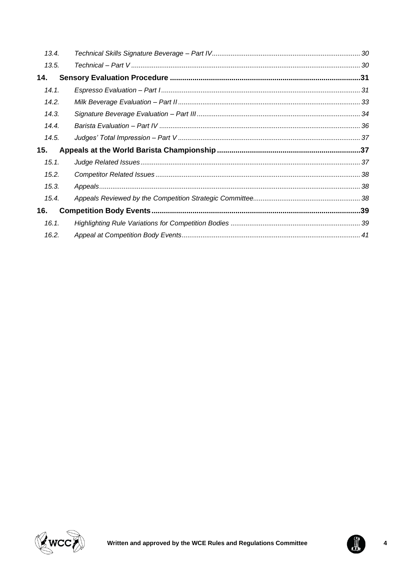| 13.4. |  |
|-------|--|
| 13.5. |  |
| 14.   |  |
| 14.1. |  |
| 14.2. |  |
| 14.3. |  |
| 14.4. |  |
| 14.5. |  |
| 15.   |  |
|       |  |
| 15.1. |  |
| 15.2. |  |
| 15.3. |  |
| 15.4. |  |
| 16.   |  |
| 16.1. |  |



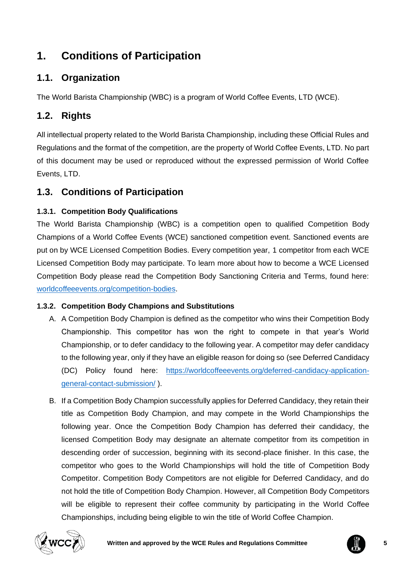# <span id="page-4-0"></span>**1. Conditions of Participation**

# <span id="page-4-1"></span>**1.1. Organization**

The World Barista Championship (WBC) is a program of World Coffee Events, LTD (WCE).

# <span id="page-4-2"></span>**1.2. Rights**

All intellectual property related to the World Barista Championship, including these Official Rules and Regulations and the format of the competition, are the property of World Coffee Events, LTD. No part of this document may be used or reproduced without the expressed permission of World Coffee Events, LTD.

# <span id="page-4-3"></span>**1.3. Conditions of Participation**

### **1.3.1. Competition Body Qualifications**

The World Barista Championship (WBC) is a competition open to qualified Competition Body Champions of a World Coffee Events (WCE) sanctioned competition event. Sanctioned events are put on by WCE Licensed Competition Bodies. Every competition year, 1 competitor from each WCE Licensed Competition Body may participate. To learn more about how to become a WCE Licensed Competition Body please read the Competition Body Sanctioning Criteria and Terms, found here: [worldcoffeeevents.org/competition-bodies.](https://worldcoffeeevents.org/Competition-bodies/)

### **1.3.2. Competition Body Champions and Substitutions**

- A. A Competition Body Champion is defined as the competitor who wins their Competition Body Championship. This competitor has won the right to compete in that year's World Championship, or to defer candidacy to the following year. A competitor may defer candidacy to the following year, only if they have an eligible reason for doing so (see Deferred Candidacy (DC) Policy found here: [https://worldcoffeeevents.org/deferred-candidacy-application](https://worldcoffeeevents.org/deferred-candidacy-application-general-contact-submission/)[general-contact-submission/](https://worldcoffeeevents.org/deferred-candidacy-application-general-contact-submission/) ).
- B. If a Competition Body Champion successfully applies for Deferred Candidacy, they retain their title as Competition Body Champion, and may compete in the World Championships the following year. Once the Competition Body Champion has deferred their candidacy, the licensed Competition Body may designate an alternate competitor from its competition in descending order of succession, beginning with its second-place finisher. In this case, the competitor who goes to the World Championships will hold the title of Competition Body Competitor. Competition Body Competitors are not eligible for Deferred Candidacy, and do not hold the title of Competition Body Champion. However, all Competition Body Competitors will be eligible to represent their coffee community by participating in the World Coffee Championships, including being eligible to win the title of World Coffee Champion.



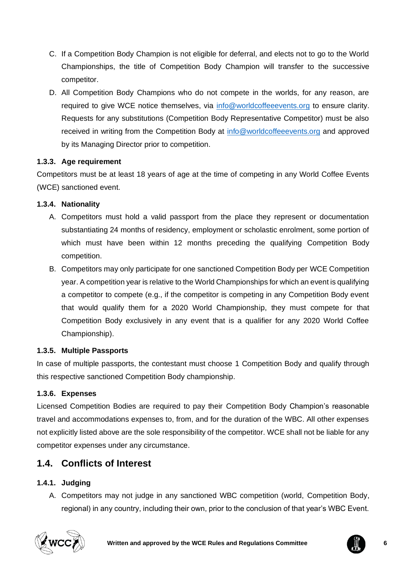- C. If a Competition Body Champion is not eligible for deferral, and elects not to go to the World Championships, the title of Competition Body Champion will transfer to the successive competitor.
- D. All Competition Body Champions who do not compete in the worlds, for any reason, are required to give WCE notice themselves, via [info@worldcoffeeevents.org](mailto:info@worldcoffeeevents.org) to ensure clarity. Requests for any substitutions (Competition Body Representative Competitor) must be also received in writing from the Competition Body at [info@worldcoffeeevents.org](mailto:info@worldcoffeeevents.org) and approved by its Managing Director prior to competition.

### **1.3.3. Age requirement**

Competitors must be at least 18 years of age at the time of competing in any World Coffee Events (WCE) sanctioned event.

### **1.3.4. Nationality**

- A. Competitors must hold a valid passport from the place they represent or documentation substantiating 24 months of residency, employment or scholastic enrolment, some portion of which must have been within 12 months preceding the qualifying Competition Body competition.
- B. Competitors may only participate for one sanctioned Competition Body per WCE Competition year. A competition year is relative to the World Championships for which an event is qualifying a competitor to compete (e.g., if the competitor is competing in any Competition Body event that would qualify them for a 2020 World Championship, they must compete for that Competition Body exclusively in any event that is a qualifier for any 2020 World Coffee Championship).

### **1.3.5. Multiple Passports**

In case of multiple passports, the contestant must choose 1 Competition Body and qualify through this respective sanctioned Competition Body championship.

### **1.3.6. Expenses**

Licensed Competition Bodies are required to pay their Competition Body Champion's reasonable travel and accommodations expenses to, from, and for the duration of the WBC. All other expenses not explicitly listed above are the sole responsibility of the competitor. WCE shall not be liable for any competitor expenses under any circumstance.

# <span id="page-5-0"></span>**1.4. Conflicts of Interest**

### **1.4.1. Judging**

A. Competitors may not judge in any sanctioned WBC competition (world, Competition Body, regional) in any country, including their own, prior to the conclusion of that year's WBC Event.



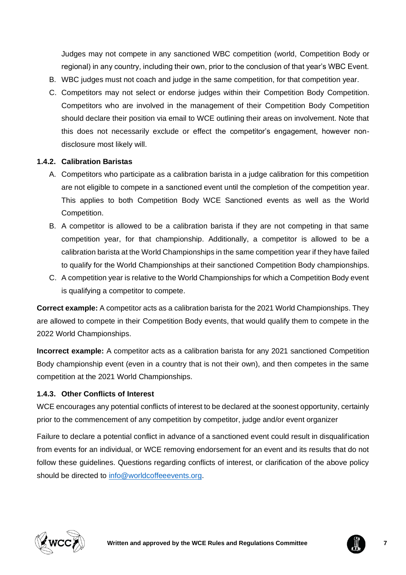Judges may not compete in any sanctioned WBC competition (world, Competition Body or regional) in any country, including their own, prior to the conclusion of that year's WBC Event.

- B. WBC judges must not coach and judge in the same competition, for that competition year.
- C. Competitors may not select or endorse judges within their Competition Body Competition. Competitors who are involved in the management of their Competition Body Competition should declare their position via email to WCE outlining their areas on involvement. Note that this does not necessarily exclude or effect the competitor's engagement, however nondisclosure most likely will.

#### **1.4.2. Calibration Baristas**

- A. Competitors who participate as a calibration barista in a judge calibration for this competition are not eligible to compete in a sanctioned event until the completion of the competition year. This applies to both Competition Body WCE Sanctioned events as well as the World Competition.
- B. A competitor is allowed to be a calibration barista if they are not competing in that same competition year, for that championship. Additionally, a competitor is allowed to be a calibration barista at the World Championships in the same competition year if they have failed to qualify for the World Championships at their sanctioned Competition Body championships.
- C. A competition year is relative to the World Championships for which a Competition Body event is qualifying a competitor to compete.

**Correct example:** A competitor acts as a calibration barista for the 2021 World Championships. They are allowed to compete in their Competition Body events, that would qualify them to compete in the 2022 World Championships.

**Incorrect example:** A competitor acts as a calibration barista for any 2021 sanctioned Competition Body championship event (even in a country that is not their own), and then competes in the same competition at the 2021 World Championships.

#### **1.4.3. Other Conflicts of Interest**

WCE encourages any potential conflicts of interest to be declared at the soonest opportunity, certainly prior to the commencement of any competition by competitor, judge and/or event organizer

Failure to declare a potential conflict in advance of a sanctioned event could result in disqualification from events for an individual, or WCE removing endorsement for an event and its results that do not follow these guidelines. Questions regarding conflicts of interest, or clarification of the above policy should be directed to [info@worldcoffeeevents.org.](mailto:info@worldcoffeeevents.org)



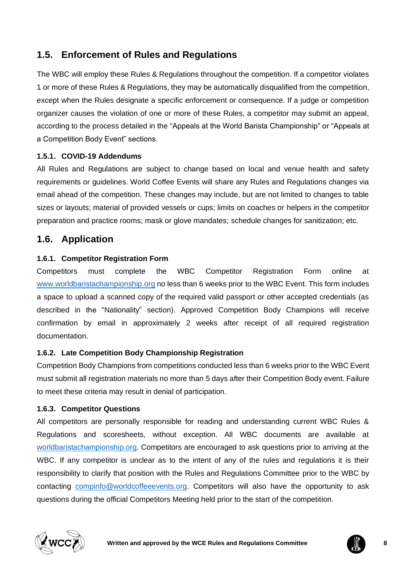# <span id="page-7-0"></span>**1.5. Enforcement of Rules and Regulations**

The WBC will employ these Rules & Regulations throughout the competition. If a competitor violates 1 or more of these Rules & Regulations, they may be automatically disqualified from the competition, except when the Rules designate a specific enforcement or consequence. If a judge or competition organizer causes the violation of one or more of these Rules, a competitor may submit an appeal, according to the process detailed in the "Appeals at the World Barista Championship" or "Appeals at a Competition Body Event" sections.

### **1.5.1. COVID-19 Addendums**

All Rules and Regulations are subject to change based on local and venue health and safety requirements or guidelines. World Coffee Events will share any Rules and Regulations changes via email ahead of the competition. These changes may include, but are not limited to changes to table sizes or layouts; material of provided vessels or cups; limits on coaches or helpers in the competitor preparation and practice rooms; mask or glove mandates; schedule changes for sanitization; etc.

### <span id="page-7-1"></span>**1.6. Application**

### **1.6.1. Competitor Registration Form**

Competitors must complete the WBC Competitor Registration Form online at [www.worldbaristachampionship.org](http://www.worldbaristachampionship.org/) no less than 6 weeks prior to the WBC Event. This form includes a space to upload a scanned copy of the required valid passport or other accepted credentials (as described in the "Nationality" section). Approved Competition Body Champions will receive confirmation by email in approximately 2 weeks after receipt of all required registration documentation.

#### **1.6.2. Late Competition Body Championship Registration**

Competition Body Champions from competitions conducted less than 6 weeks prior to the WBC Event must submit all registration materials no more than 5 days after their Competition Body event. Failure to meet these criteria may result in denial of participation.

#### **1.6.3. Competitor Questions**

All competitors are personally responsible for reading and understanding current WBC Rules & Regulations and scoresheets, without exception. All WBC documents are available at [worldbaristachampionship.org.](http://www.worldbaristachampionship.org/) Competitors are encouraged to ask questions prior to arriving at the WBC. If any competitor is unclear as to the intent of any of the rules and regulations it is their responsibility to clarify that position with the Rules and Regulations Committee prior to the WBC by contacting [compinfo@worldcoffeeevents.org.](mailto:compinfo@worldcoffeeevents.org) Competitors will also have the opportunity to ask questions during the official Competitors Meeting held prior to the start of the competition.



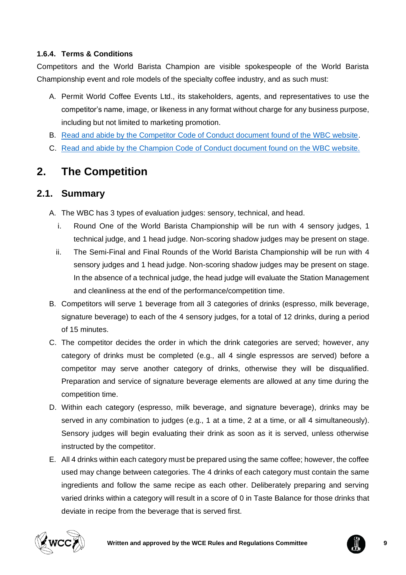### **1.6.4. Terms & Conditions**

Competitors and the World Barista Champion are visible spokespeople of the World Barista Championship event and role models of the specialty coffee industry, and as such must:

- A. Permit World Coffee Events Ltd., its stakeholders, agents, and representatives to use the competitor's name, image, or likeness in any format without charge for any business purpose, including but not limited to marketing promotion.
- B. [Read and abide by the Competitor Code of Conduct document found of the WBC website.](https://worldbaristachampionship.org/rules/)
- C. [Read and abide by the Champion Code of Conduct document found on the WBC website.](https://worldbaristachampionship.org/rules/)

# <span id="page-8-0"></span>**2. The Competition**

### <span id="page-8-1"></span>**2.1. Summary**

- A. The WBC has 3 types of evaluation judges: sensory, technical, and head.
	- i. Round One of the World Barista Championship will be run with 4 sensory judges, 1 technical judge, and 1 head judge. Non-scoring shadow judges may be present on stage.
	- ii. The Semi-Final and Final Rounds of the World Barista Championship will be run with 4 sensory judges and 1 head judge. Non-scoring shadow judges may be present on stage. In the absence of a technical judge, the head judge will evaluate the Station Management and cleanliness at the end of the performance/competition time.
- B. Competitors will serve 1 beverage from all 3 categories of drinks (espresso, milk beverage, signature beverage) to each of the 4 sensory judges, for a total of 12 drinks, during a period of 15 minutes.
- C. The competitor decides the order in which the drink categories are served; however, any category of drinks must be completed (e.g., all 4 single espressos are served) before a competitor may serve another category of drinks, otherwise they will be disqualified. Preparation and service of signature beverage elements are allowed at any time during the competition time.
- D. Within each category (espresso, milk beverage, and signature beverage), drinks may be served in any combination to judges (e.g., 1 at a time, 2 at a time, or all 4 simultaneously). Sensory judges will begin evaluating their drink as soon as it is served, unless otherwise instructed by the competitor.
- E. All 4 drinks within each category must be prepared using the same coffee; however, the coffee used may change between categories. The 4 drinks of each category must contain the same ingredients and follow the same recipe as each other. Deliberately preparing and serving varied drinks within a category will result in a score of 0 in Taste Balance for those drinks that deviate in recipe from the beverage that is served first.



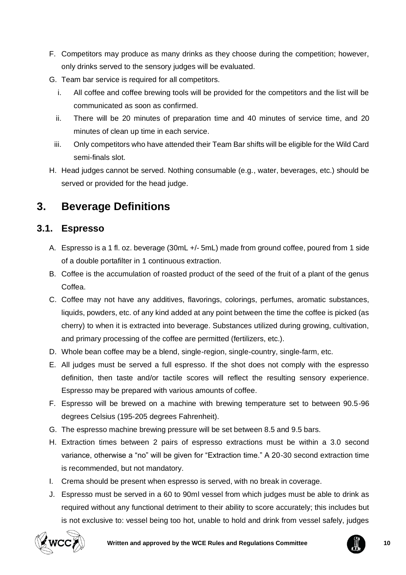- F. Competitors may produce as many drinks as they choose during the competition; however, only drinks served to the sensory judges will be evaluated.
- G. Team bar service is required for all competitors.
	- i. All coffee and coffee brewing tools will be provided for the competitors and the list will be communicated as soon as confirmed.
	- ii. There will be 20 minutes of preparation time and 40 minutes of service time, and 20 minutes of clean up time in each service.
	- iii. Only competitors who have attended their Team Bar shifts will be eligible for the Wild Card semi-finals slot.
- H. Head judges cannot be served. Nothing consumable (e.g., water, beverages, etc.) should be served or provided for the head judge.

# <span id="page-9-0"></span>**3. Beverage Definitions**

# <span id="page-9-1"></span>**3.1. Espresso**

- A. Espresso is a 1 fl. oz. beverage (30mL +/- 5mL) made from ground coffee, poured from 1 side of a double portafilter in 1 continuous extraction.
- B. Coffee is the accumulation of roasted product of the seed of the fruit of a plant of the genus Coffea.
- C. Coffee may not have any additives, flavorings, colorings, perfumes, aromatic substances, liquids, powders, etc. of any kind added at any point between the time the coffee is picked (as cherry) to when it is extracted into beverage. Substances utilized during growing, cultivation, and primary processing of the coffee are permitted (fertilizers, etc.).
- D. Whole bean coffee may be a blend, single-region, single-country, single-farm, etc.
- E. All judges must be served a full espresso. If the shot does not comply with the espresso definition, then taste and/or tactile scores will reflect the resulting sensory experience. Espresso may be prepared with various amounts of coffee.
- F. Espresso will be brewed on a machine with brewing temperature set to between 90.5-96 degrees Celsius (195-205 degrees Fahrenheit).
- G. The espresso machine brewing pressure will be set between 8.5 and 9.5 bars.
- H. Extraction times between 2 pairs of espresso extractions must be within a 3.0 second variance, otherwise a "no" will be given for "Extraction time." A 20-30 second extraction time is recommended, but not mandatory.
- I. Crema should be present when espresso is served, with no break in coverage.
- J. Espresso must be served in a 60 to 90ml vessel from which judges must be able to drink as required without any functional detriment to their ability to score accurately; this includes but is not exclusive to: vessel being too hot, unable to hold and drink from vessel safely, judges



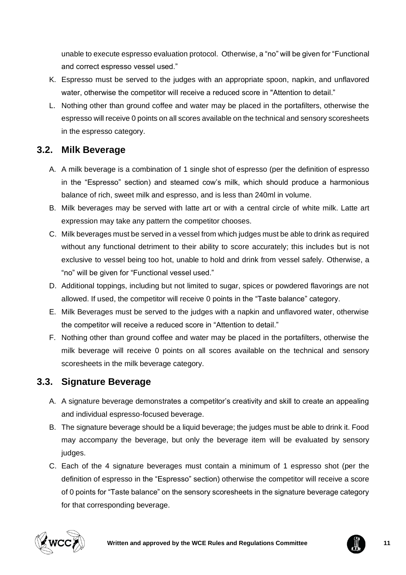unable to execute espresso evaluation protocol. Otherwise, a "no" will be given for "Functional and correct espresso vessel used."

- K. Espresso must be served to the judges with an appropriate spoon, napkin, and unflavored water, otherwise the competitor will receive a reduced score in "Attention to detail."
- L. Nothing other than ground coffee and water may be placed in the portafilters, otherwise the espresso will receive 0 points on all scores available on the technical and sensory scoresheets in the espresso category.

# <span id="page-10-0"></span>**3.2. Milk Beverage**

- A. A milk beverage is a combination of 1 single shot of espresso (per the definition of espresso in the "Espresso" section) and steamed cow's milk, which should produce a harmonious balance of rich, sweet milk and espresso, and is less than 240ml in volume.
- B. Milk beverages may be served with latte art or with a central circle of white milk. Latte art expression may take any pattern the competitor chooses.
- C. Milk beverages must be served in a vessel from which judges must be able to drink as required without any functional detriment to their ability to score accurately; this includes but is not exclusive to vessel being too hot, unable to hold and drink from vessel safely. Otherwise, a "no" will be given for "Functional vessel used."
- D. Additional toppings, including but not limited to sugar, spices or powdered flavorings are not allowed. If used, the competitor will receive 0 points in the "Taste balance" category.
- E. Milk Beverages must be served to the judges with a napkin and unflavored water, otherwise the competitor will receive a reduced score in "Attention to detail."
- F. Nothing other than ground coffee and water may be placed in the portafilters, otherwise the milk beverage will receive 0 points on all scores available on the technical and sensory scoresheets in the milk beverage category.

# <span id="page-10-1"></span>**3.3. Signature Beverage**

- A. A signature beverage demonstrates a competitor's creativity and skill to create an appealing and individual espresso-focused beverage.
- B. The signature beverage should be a liquid beverage; the judges must be able to drink it. Food may accompany the beverage, but only the beverage item will be evaluated by sensory judges.
- C. Each of the 4 signature beverages must contain a minimum of 1 espresso shot (per the definition of espresso in the "Espresso" section) otherwise the competitor will receive a score of 0 points for "Taste balance" on the sensory scoresheets in the signature beverage category for that corresponding beverage.



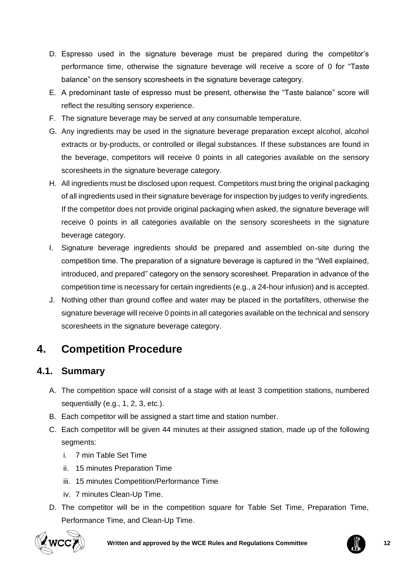- D. Espresso used in the signature beverage must be prepared during the competitor's performance time, otherwise the signature beverage will receive a score of 0 for "Taste balance" on the sensory scoresheets in the signature beverage category.
- E. A predominant taste of espresso must be present, otherwise the "Taste balance" score will reflect the resulting sensory experience.
- F. The signature beverage may be served at any consumable temperature.
- G. Any ingredients may be used in the signature beverage preparation except alcohol, alcohol extracts or by-products, or controlled or illegal substances. If these substances are found in the beverage, competitors will receive 0 points in all categories available on the sensory scoresheets in the signature beverage category.
- H. All ingredients must be disclosed upon request. Competitors must bring the original packaging of all ingredients used in their signature beverage for inspection by judges to verify ingredients. If the competitor does not provide original packaging when asked, the signature beverage will receive 0 points in all categories available on the sensory scoresheets in the signature beverage category.
- I. Signature beverage ingredients should be prepared and assembled on-site during the competition time. The preparation of a signature beverage is captured in the "Well explained, introduced, and prepared" category on the sensory scoresheet. Preparation in advance of the competition time is necessary for certain ingredients (e.g., a 24-hour infusion) and is accepted.
- J. Nothing other than ground coffee and water may be placed in the portafilters, otherwise the signature beverage will receive 0 points in all categories available on the technical and sensory scoresheets in the signature beverage category.

# <span id="page-11-0"></span>**4. Competition Procedure**

# <span id="page-11-1"></span>**4.1. Summary**

- A. The competition space will consist of a stage with at least 3 competition stations, numbered sequentially (e.g., 1, 2, 3, etc.).
- B. Each competitor will be assigned a start time and station number.
- C. Each competitor will be given 44 minutes at their assigned station, made up of the following segments:
	- i. 7 min Table Set Time
	- ii. 15 minutes Preparation Time
	- iii. 15 minutes Competition/Performance Time
	- iv. 7 minutes Clean-Up Time.
- D. The competitor will be in the competition square for Table Set Time, Preparation Time, Performance Time, and Clean-Up Time.



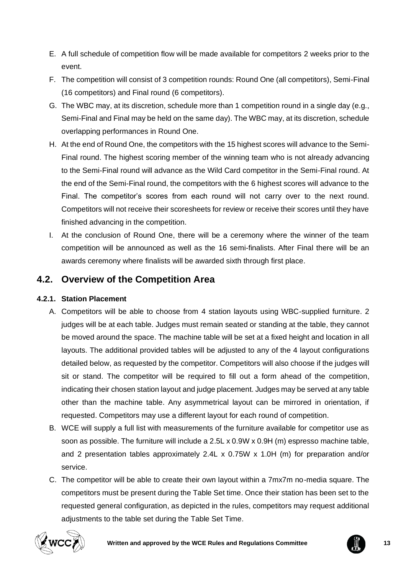- E. A full schedule of competition flow will be made available for competitors 2 weeks prior to the event.
- F. The competition will consist of 3 competition rounds: Round One (all competitors), Semi-Final (16 competitors) and Final round (6 competitors).
- G. The WBC may, at its discretion, schedule more than 1 competition round in a single day (e.g., Semi-Final and Final may be held on the same day). The WBC may, at its discretion, schedule overlapping performances in Round One.
- H. At the end of Round One, the competitors with the 15 highest scores will advance to the Semi-Final round. The highest scoring member of the winning team who is not already advancing to the Semi-Final round will advance as the Wild Card competitor in the Semi-Final round. At the end of the Semi-Final round, the competitors with the 6 highest scores will advance to the Final. The competitor's scores from each round will not carry over to the next round. Competitors will not receive their scoresheets for review or receive their scores until they have finished advancing in the competition.
- I. At the conclusion of Round One, there will be a ceremony where the winner of the team competition will be announced as well as the 16 semi-finalists. After Final there will be an awards ceremony where finalists will be awarded sixth through first place.

### <span id="page-12-0"></span>**4.2. Overview of the Competition Area**

### **4.2.1. Station Placement**

- A. Competitors will be able to choose from 4 station layouts using WBC-supplied furniture. 2 judges will be at each table. Judges must remain seated or standing at the table, they cannot be moved around the space. The machine table will be set at a fixed height and location in all layouts. The additional provided tables will be adjusted to any of the 4 layout configurations detailed below, as requested by the competitor. Competitors will also choose if the judges will sit or stand. The competitor will be required to fill out a form ahead of the competition, indicating their chosen station layout and judge placement. Judges may be served at any table other than the machine table. Any asymmetrical layout can be mirrored in orientation, if requested. Competitors may use a different layout for each round of competition.
- B. WCE will supply a full list with measurements of the furniture available for competitor use as soon as possible. The furniture will include a 2.5L x 0.9W x 0.9H (m) espresso machine table, and 2 presentation tables approximately 2.4L x 0.75W x 1.0H (m) for preparation and/or service.
- C. The competitor will be able to create their own layout within a 7mx7m no-media square. The competitors must be present during the Table Set time. Once their station has been set to the requested general configuration, as depicted in the rules, competitors may request additional adjustments to the table set during the Table Set Time.



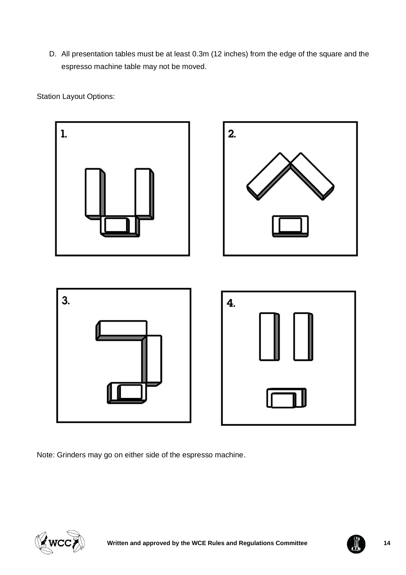D. All presentation tables must be at least 0.3m (12 inches) from the edge of the square and the espresso machine table may not be moved.

Station Layout Options:



Note: Grinders may go on either side of the espresso machine.



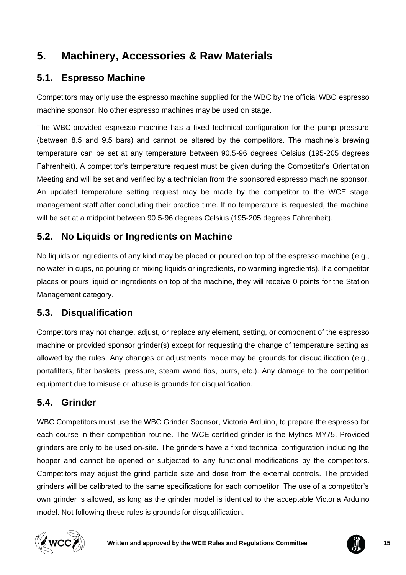# <span id="page-14-0"></span>**5. Machinery, Accessories & Raw Materials**

# <span id="page-14-1"></span>**5.1. Espresso Machine**

Competitors may only use the espresso machine supplied for the WBC by the official WBC espresso machine sponsor. No other espresso machines may be used on stage.

The WBC-provided espresso machine has a fixed technical configuration for the pump pressure (between 8.5 and 9.5 bars) and cannot be altered by the competitors. The machine's brewing temperature can be set at any temperature between 90.5-96 degrees Celsius (195-205 degrees Fahrenheit). A competitor's temperature request must be given during the Competitor's Orientation Meeting and will be set and verified by a technician from the sponsored espresso machine sponsor. An updated temperature setting request may be made by the competitor to the WCE stage management staff after concluding their practice time. If no temperature is requested, the machine will be set at a midpoint between 90.5-96 degrees Celsius (195-205 degrees Fahrenheit).

# <span id="page-14-2"></span>**5.2. No Liquids or Ingredients on Machine**

No liquids or ingredients of any kind may be placed or poured on top of the espresso machine (e.g., no water in cups, no pouring or mixing liquids or ingredients, no warming ingredients). If a competitor places or pours liquid or ingredients on top of the machine, they will receive 0 points for the Station Management category.

# <span id="page-14-3"></span>**5.3. Disqualification**

Competitors may not change, adjust, or replace any element, setting, or component of the espresso machine or provided sponsor grinder(s) except for requesting the change of temperature setting as allowed by the rules. Any changes or adjustments made may be grounds for disqualification (e.g., portafilters, filter baskets, pressure, steam wand tips, burrs, etc.). Any damage to the competition equipment due to misuse or abuse is grounds for disqualification.

# <span id="page-14-4"></span>**5.4. Grinder**

WBC Competitors must use the WBC Grinder Sponsor, Victoria Arduino, to prepare the espresso for each course in their competition routine. The WCE-certified grinder is the Mythos MY75. Provided grinders are only to be used on-site. The grinders have a fixed technical configuration including the hopper and cannot be opened or subjected to any functional modifications by the competitors. Competitors may adjust the grind particle size and dose from the external controls. The provided grinders will be calibrated to the same specifications for each competitor. The use of a competitor's own grinder is allowed, as long as the grinder model is identical to the acceptable Victoria Arduino model. Not following these rules is grounds for disqualification.



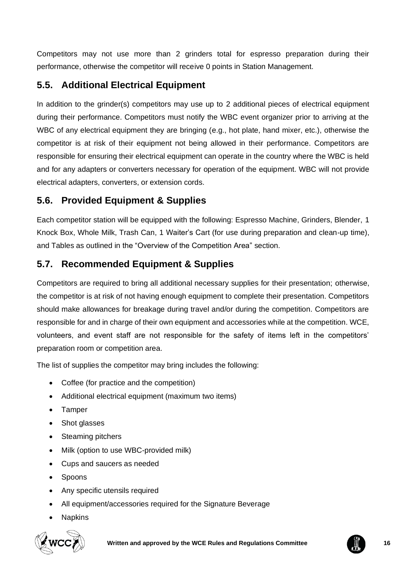Competitors may not use more than 2 grinders total for espresso preparation during their performance, otherwise the competitor will receive 0 points in Station Management.

# <span id="page-15-0"></span>**5.5. Additional Electrical Equipment**

In addition to the grinder(s) competitors may use up to 2 additional pieces of electrical equipment during their performance. Competitors must notify the WBC event organizer prior to arriving at the WBC of any electrical equipment they are bringing (e.g., hot plate, hand mixer, etc.), otherwise the competitor is at risk of their equipment not being allowed in their performance. Competitors are responsible for ensuring their electrical equipment can operate in the country where the WBC is held and for any adapters or converters necessary for operation of the equipment. WBC will not provide electrical adapters, converters, or extension cords.

# <span id="page-15-1"></span>**5.6. Provided Equipment & Supplies**

Each competitor station will be equipped with the following: Espresso Machine, Grinders, Blender, 1 Knock Box, Whole Milk, Trash Can, 1 Waiter's Cart (for use during preparation and clean-up time), and Tables as outlined in the "Overview of the Competition Area" section.

# <span id="page-15-2"></span>**5.7. Recommended Equipment & Supplies**

Competitors are required to bring all additional necessary supplies for their presentation; otherwise, the competitor is at risk of not having enough equipment to complete their presentation. Competitors should make allowances for breakage during travel and/or during the competition. Competitors are responsible for and in charge of their own equipment and accessories while at the competition. WCE, volunteers, and event staff are not responsible for the safety of items left in the competitors' preparation room or competition area.

The list of supplies the competitor may bring includes the following:

- Coffee (for practice and the competition)
- Additional electrical equipment (maximum two items)
- Tamper
- Shot glasses
- Steaming pitchers
- Milk (option to use WBC-provided milk)
- Cups and saucers as needed
- Spoons
- Any specific utensils required
- All equipment/accessories required for the Signature Beverage
- **Napkins**



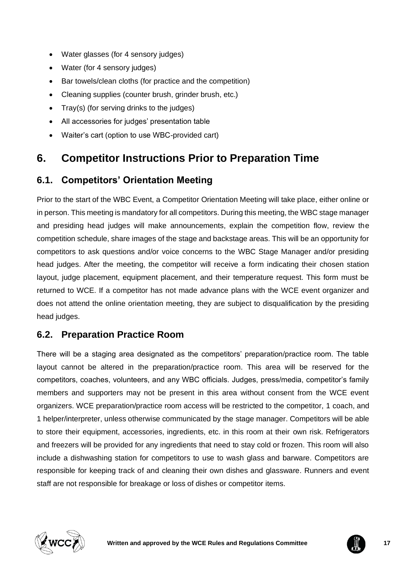- Water glasses (for 4 sensory judges)
- Water (for 4 sensory judges)
- Bar towels/clean cloths (for practice and the competition)
- Cleaning supplies (counter brush, grinder brush, etc.)
- Tray(s) (for serving drinks to the judges)
- All accessories for judges' presentation table
- Waiter's cart (option to use WBC-provided cart)

# <span id="page-16-0"></span>**6. Competitor Instructions Prior to Preparation Time**

# <span id="page-16-1"></span>**6.1. Competitors' Orientation Meeting**

Prior to the start of the WBC Event, a Competitor Orientation Meeting will take place, either online or in person. This meeting is mandatory for all competitors. During this meeting, the WBC stage manager and presiding head judges will make announcements, explain the competition flow, review the competition schedule, share images of the stage and backstage areas. This will be an opportunity for competitors to ask questions and/or voice concerns to the WBC Stage Manager and/or presiding head judges. After the meeting, the competitor will receive a form indicating their chosen station layout, judge placement, equipment placement, and their temperature request. This form must be returned to WCE. If a competitor has not made advance plans with the WCE event organizer and does not attend the online orientation meeting, they are subject to disqualification by the presiding head judges.

### <span id="page-16-2"></span>**6.2. Preparation Practice Room**

There will be a staging area designated as the competitors' preparation/practice room. The table layout cannot be altered in the preparation/practice room. This area will be reserved for the competitors, coaches, volunteers, and any WBC officials. Judges, press/media, competitor's family members and supporters may not be present in this area without consent from the WCE event organizers. WCE preparation/practice room access will be restricted to the competitor, 1 coach, and 1 helper/interpreter, unless otherwise communicated by the stage manager. Competitors will be able to store their equipment, accessories, ingredients, etc. in this room at their own risk. Refrigerators and freezers will be provided for any ingredients that need to stay cold or frozen. This room will also include a dishwashing station for competitors to use to wash glass and barware. Competitors are responsible for keeping track of and cleaning their own dishes and glassware. Runners and event staff are not responsible for breakage or loss of dishes or competitor items.



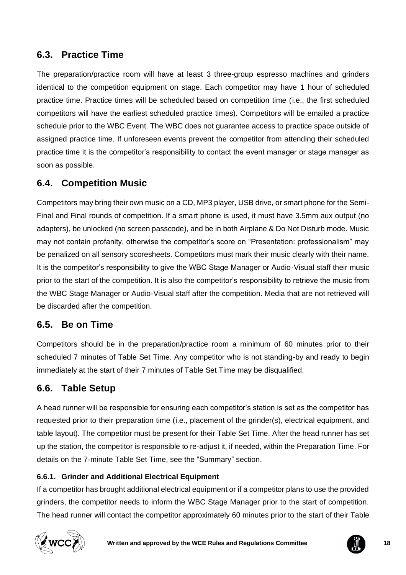# <span id="page-17-0"></span>**6.3. Practice Time**

The preparation/practice room will have at least 3 three-group espresso machines and grinders identical to the competition equipment on stage. Each competitor may have 1 hour of scheduled practice time. Practice times will be scheduled based on competition time (i.e., the first scheduled competitors will have the earliest scheduled practice times). Competitors will be emailed a practice schedule prior to the WBC Event. The WBC does not guarantee access to practice space outside of assigned practice time. If unforeseen events prevent the competitor from attending their scheduled practice time it is the competitor's responsibility to contact the event manager or stage manager as soon as possible.

### <span id="page-17-1"></span>**6.4. Competition Music**

Competitors may bring their own music on a CD, MP3 player, USB drive, or smart phone for the Semi-Final and Final rounds of competition. If a smart phone is used, it must have 3.5mm aux output (no adapters), be unlocked (no screen passcode), and be in both Airplane & Do Not Disturb mode. Music may not contain profanity, otherwise the competitor's score on "Presentation: professionalism" may be penalized on all sensory scoresheets. Competitors must mark their music clearly with their name. It is the competitor's responsibility to give the WBC Stage Manager or Audio-Visual staff their music prior to the start of the competition. It is also the competitor's responsibility to retrieve the music from the WBC Stage Manager or Audio-Visual staff after the competition. Media that are not retrieved will be discarded after the competition.

# <span id="page-17-2"></span>**6.5. Be on Time**

Competitors should be in the preparation/practice room a minimum of 60 minutes prior to their scheduled 7 minutes of Table Set Time. Any competitor who is not standing-by and ready to begin immediately at the start of their 7 minutes of Table Set Time may be disqualified.

# <span id="page-17-3"></span>**6.6. Table Setup**

A head runner will be responsible for ensuring each competitor's station is set as the competitor has requested prior to their preparation time (i.e., placement of the grinder(s), electrical equipment, and table layout). The competitor must be present for their Table Set Time. After the head runner has set up the station, the competitor is responsible to re-adjust it, if needed, within the Preparation Time. For details on the 7-minute Table Set Time, see the "Summary" section.

### **6.6.1. Grinder and Additional Electrical Equipment**

If a competitor has brought additional electrical equipment or if a competitor plans to use the provided grinders, the competitor needs to inform the WBC Stage Manager prior to the start of competition. The head runner will contact the competitor approximately 60 minutes prior to the start of their Table



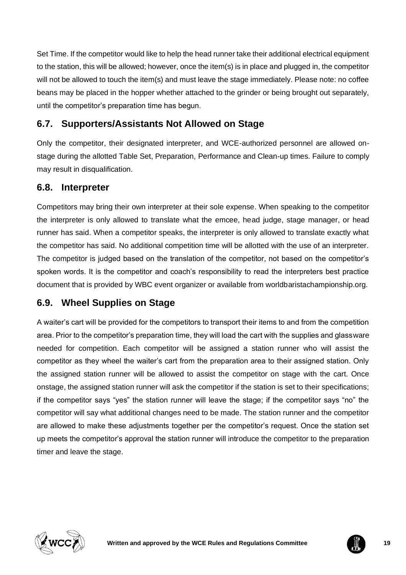Set Time. If the competitor would like to help the head runner take their additional electrical equipment to the station, this will be allowed; however, once the item(s) is in place and plugged in, the competitor will not be allowed to touch the item(s) and must leave the stage immediately. Please note: no coffee beans may be placed in the hopper whether attached to the grinder or being brought out separately, until the competitor's preparation time has begun.

# <span id="page-18-0"></span>**6.7. Supporters/Assistants Not Allowed on Stage**

Only the competitor, their designated interpreter, and WCE-authorized personnel are allowed onstage during the allotted Table Set, Preparation, Performance and Clean-up times. Failure to comply may result in disqualification.

### <span id="page-18-1"></span>**6.8. Interpreter**

Competitors may bring their own interpreter at their sole expense. When speaking to the competitor the interpreter is only allowed to translate what the emcee, head judge, stage manager, or head runner has said. When a competitor speaks, the interpreter is only allowed to translate exactly what the competitor has said. No additional competition time will be allotted with the use of an interpreter. The competitor is judged based on the translation of the competitor, not based on the competitor's spoken words. It is the competitor and coach's responsibility to read the interpreters best practice document that is provided by WBC event organizer or available from worldbaristachampionship.org.

# <span id="page-18-2"></span>**6.9. Wheel Supplies on Stage**

A waiter's cart will be provided for the competitors to transport their items to and from the competition area. Prior to the competitor's preparation time, they will load the cart with the supplies and glassware needed for competition. Each competitor will be assigned a station runner who will assist the competitor as they wheel the waiter's cart from the preparation area to their assigned station. Only the assigned station runner will be allowed to assist the competitor on stage with the cart. Once onstage, the assigned station runner will ask the competitor if the station is set to their specifications; if the competitor says "yes" the station runner will leave the stage; if the competitor says "no" the competitor will say what additional changes need to be made. The station runner and the competitor are allowed to make these adjustments together per the competitor's request. Once the station set up meets the competitor's approval the station runner will introduce the competitor to the preparation timer and leave the stage.



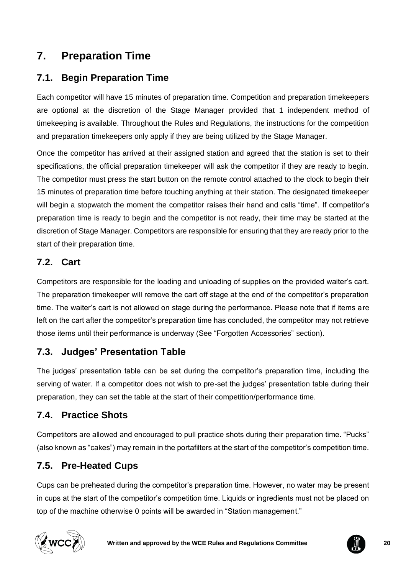# <span id="page-19-0"></span>**7. Preparation Time**

# <span id="page-19-1"></span>**7.1. Begin Preparation Time**

Each competitor will have 15 minutes of preparation time. Competition and preparation timekeepers are optional at the discretion of the Stage Manager provided that 1 independent method of timekeeping is available. Throughout the Rules and Regulations, the instructions for the competition and preparation timekeepers only apply if they are being utilized by the Stage Manager.

Once the competitor has arrived at their assigned station and agreed that the station is set to their specifications, the official preparation timekeeper will ask the competitor if they are ready to begin. The competitor must press the start button on the remote control attached to the clock to begin their 15 minutes of preparation time before touching anything at their station. The designated timekeeper will begin a stopwatch the moment the competitor raises their hand and calls "time". If competitor's preparation time is ready to begin and the competitor is not ready, their time may be started at the discretion of Stage Manager. Competitors are responsible for ensuring that they are ready prior to the start of their preparation time.

# <span id="page-19-2"></span>**7.2. Cart**

Competitors are responsible for the loading and unloading of supplies on the provided waiter's cart. The preparation timekeeper will remove the cart off stage at the end of the competitor's preparation time. The waiter's cart is not allowed on stage during the performance. Please note that if items are left on the cart after the competitor's preparation time has concluded, the competitor may not retrieve those items until their performance is underway (See "Forgotten Accessories" section).

# <span id="page-19-3"></span>**7.3. Judges' Presentation Table**

The judges' presentation table can be set during the competitor's preparation time, including the serving of water. If a competitor does not wish to pre-set the judges' presentation table during their preparation, they can set the table at the start of their competition/performance time.

# <span id="page-19-4"></span>**7.4. Practice Shots**

Competitors are allowed and encouraged to pull practice shots during their preparation time. "Pucks" (also known as "cakes") may remain in the portafilters at the start of the competitor's competition time.

# <span id="page-19-5"></span>**7.5. Pre-Heated Cups**

Cups can be preheated during the competitor's preparation time. However, no water may be present in cups at the start of the competitor's competition time. Liquids or ingredients must not be placed on top of the machine otherwise 0 points will be awarded in "Station management."



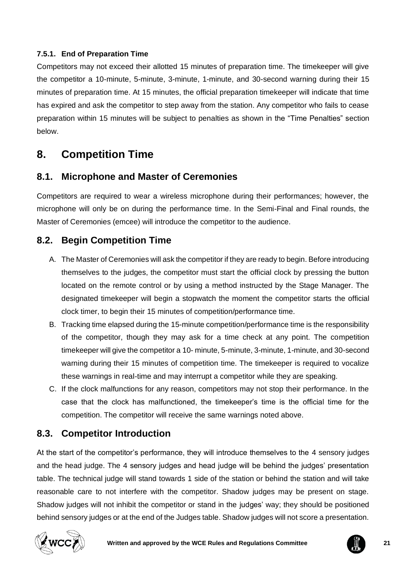### **7.5.1. End of Preparation Time**

Competitors may not exceed their allotted 15 minutes of preparation time. The timekeeper will give the competitor a 10-minute, 5-minute, 3-minute, 1-minute, and 30-second warning during their 15 minutes of preparation time. At 15 minutes, the official preparation timekeeper will indicate that time has expired and ask the competitor to step away from the station. Any competitor who fails to cease preparation within 15 minutes will be subject to penalties as shown in the "Time Penalties" section below.

# <span id="page-20-0"></span>**8. Competition Time**

# <span id="page-20-1"></span>**8.1. Microphone and Master of Ceremonies**

Competitors are required to wear a wireless microphone during their performances; however, the microphone will only be on during the performance time. In the Semi-Final and Final rounds, the Master of Ceremonies (emcee) will introduce the competitor to the audience.

# <span id="page-20-2"></span>**8.2. Begin Competition Time**

- A. The Master of Ceremonies will ask the competitor if they are ready to begin. Before introducing themselves to the judges, the competitor must start the official clock by pressing the button located on the remote control or by using a method instructed by the Stage Manager. The designated timekeeper will begin a stopwatch the moment the competitor starts the official clock timer, to begin their 15 minutes of competition/performance time.
- B. Tracking time elapsed during the 15-minute competition/performance time is the responsibility of the competitor, though they may ask for a time check at any point. The competition timekeeper will give the competitor a 10- minute, 5-minute, 3-minute, 1-minute, and 30-second warning during their 15 minutes of competition time. The timekeeper is required to vocalize these warnings in real-time and may interrupt a competitor while they are speaking.
- C. If the clock malfunctions for any reason, competitors may not stop their performance. In the case that the clock has malfunctioned, the timekeeper's time is the official time for the competition. The competitor will receive the same warnings noted above.

# <span id="page-20-3"></span>**8.3. Competitor Introduction**

At the start of the competitor's performance, they will introduce themselves to the 4 sensory judges and the head judge. The 4 sensory judges and head judge will be behind the judges' presentation table. The technical judge will stand towards 1 side of the station or behind the station and will take reasonable care to not interfere with the competitor. Shadow judges may be present on stage. Shadow judges will not inhibit the competitor or stand in the judges' way; they should be positioned behind sensory judges or at the end of the Judges table. Shadow judges will not score a presentation.



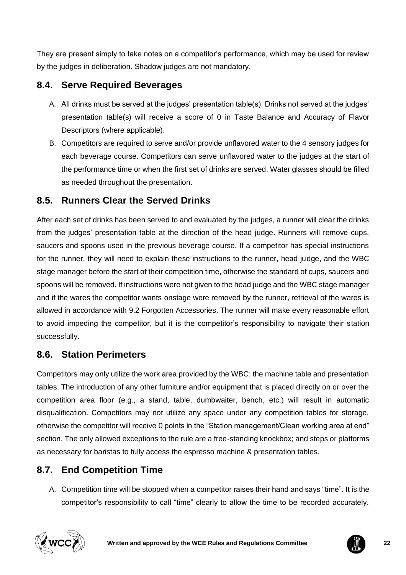They are present simply to take notes on a competitor's performance, which may be used for review by the judges in deliberation. Shadow judges are not mandatory.

# <span id="page-21-0"></span>**8.4. Serve Required Beverages**

- A. All drinks must be served at the judges' presentation table(s). Drinks not served at the judges' presentation table(s) will receive a score of 0 in Taste Balance and Accuracy of Flavor Descriptors (where applicable).
- B. Competitors are required to serve and/or provide unflavored water to the 4 sensory judges for each beverage course. Competitors can serve unflavored water to the judges at the start of the performance time or when the first set of drinks are served. Water glasses should be filled as needed throughout the presentation.

# <span id="page-21-1"></span>**8.5. Runners Clear the Served Drinks**

After each set of drinks has been served to and evaluated by the judges, a runner will clear the drinks from the judges' presentation table at the direction of the head judge. Runners will remove cups, saucers and spoons used in the previous beverage course. If a competitor has special instructions for the runner, they will need to explain these instructions to the runner, head judge, and the WBC stage manager before the start of their competition time, otherwise the standard of cups, saucers and spoons will be removed. If instructions were not given to the head judge and the WBC stage manager and if the wares the competitor wants onstage were removed by the runner, retrieval of the wares is allowed in accordance with 9.2 Forgotten Accessories. The runner will make every reasonable effort to avoid impeding the competitor, but it is the competitor's responsibility to navigate their station successfully.

# <span id="page-21-2"></span>**8.6. Station Perimeters**

Competitors may only utilize the work area provided by the WBC: the machine table and presentation tables. The introduction of any other furniture and/or equipment that is placed directly on or over the competition area floor (e.g., a stand, table, dumbwaiter, bench, etc.) will result in automatic disqualification. Competitors may not utilize any space under any competition tables for storage, otherwise the competitor will receive 0 points in the "Station management/Clean working area at end" section. The only allowed exceptions to the rule are a free-standing knockbox; and steps or platforms as necessary for baristas to fully access the espresso machine & presentation tables.

# <span id="page-21-3"></span>**8.7. End Competition Time**

A. Competition time will be stopped when a competitor raises their hand and says "time". It is the competitor's responsibility to call "time" clearly to allow the time to be recorded accurately.



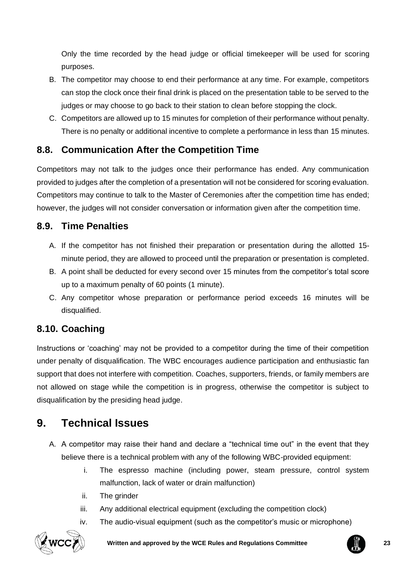Only the time recorded by the head judge or official timekeeper will be used for scoring purposes.

- B. The competitor may choose to end their performance at any time. For example, competitors can stop the clock once their final drink is placed on the presentation table to be served to the judges or may choose to go back to their station to clean before stopping the clock.
- C. Competitors are allowed up to 15 minutes for completion of their performance without penalty. There is no penalty or additional incentive to complete a performance in less than 15 minutes.

# <span id="page-22-0"></span>**8.8. Communication After the Competition Time**

Competitors may not talk to the judges once their performance has ended. Any communication provided to judges after the completion of a presentation will not be considered for scoring evaluation. Competitors may continue to talk to the Master of Ceremonies after the competition time has ended; however, the judges will not consider conversation or information given after the competition time.

# <span id="page-22-1"></span>**8.9. Time Penalties**

- A. If the competitor has not finished their preparation or presentation during the allotted 15 minute period, they are allowed to proceed until the preparation or presentation is completed.
- B. A point shall be deducted for every second over 15 minutes from the competitor's total score up to a maximum penalty of 60 points (1 minute).
- C. Any competitor whose preparation or performance period exceeds 16 minutes will be disqualified.

# <span id="page-22-2"></span>**8.10. Coaching**

Instructions or 'coaching' may not be provided to a competitor during the time of their competition under penalty of disqualification. The WBC encourages audience participation and enthusiastic fan support that does not interfere with competition. Coaches, supporters, friends, or family members are not allowed on stage while the competition is in progress, otherwise the competitor is subject to disqualification by the presiding head judge.

# <span id="page-22-3"></span>**9. Technical Issues**

- A. A competitor may raise their hand and declare a "technical time out" in the event that they believe there is a technical problem with any of the following WBC-provided equipment:
	- i. The espresso machine (including power, steam pressure, control system malfunction, lack of water or drain malfunction)
	- ii. The grinder
	- iii. Any additional electrical equipment (excluding the competition clock)
	- iv. The audio-visual equipment (such as the competitor's music or microphone)



**Written and approved by the WCE Rules and Regulations Committee 23**

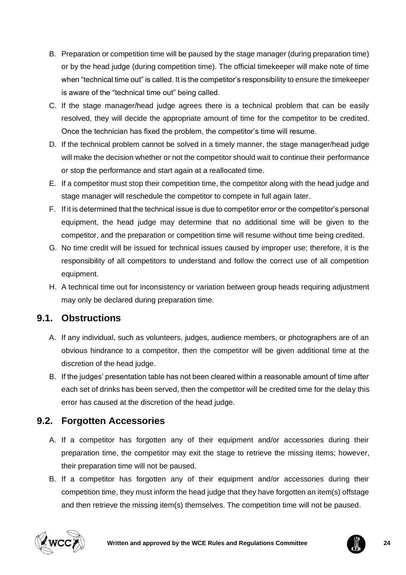- B. Preparation or competition time will be paused by the stage manager (during preparation time) or by the head judge (during competition time). The official timekeeper will make note of time when "technical time out" is called. It is the competitor's responsibility to ensure the timekeeper is aware of the "technical time out" being called.
- C. If the stage manager/head judge agrees there is a technical problem that can be easily resolved, they will decide the appropriate amount of time for the competitor to be credited. Once the technician has fixed the problem, the competitor's time will resume.
- D. If the technical problem cannot be solved in a timely manner, the stage manager/head judge will make the decision whether or not the competitor should wait to continue their performance or stop the performance and start again at a reallocated time.
- E. If a competitor must stop their competition time, the competitor along with the head judge and stage manager will reschedule the competitor to compete in full again later.
- F. If it is determined that the technical issue is due to competitor error or the competitor's personal equipment, the head judge may determine that no additional time will be given to the competitor, and the preparation or competition time will resume without time being credited.
- G. No time credit will be issued for technical issues caused by improper use; therefore, it is the responsibility of all competitors to understand and follow the correct use of all competition equipment.
- H. A technical time out for inconsistency or variation between group heads requiring adjustment may only be declared during preparation time.

# <span id="page-23-0"></span>**9.1. Obstructions**

- A. If any individual, such as volunteers, judges, audience members, or photographers are of an obvious hindrance to a competitor, then the competitor will be given additional time at the discretion of the head judge.
- B. If the judges' presentation table has not been cleared within a reasonable amount of time after each set of drinks has been served, then the competitor will be credited time for the delay this error has caused at the discretion of the head judge.

# <span id="page-23-1"></span>**9.2. Forgotten Accessories**

- A. If a competitor has forgotten any of their equipment and/or accessories during their preparation time, the competitor may exit the stage to retrieve the missing items; however, their preparation time will not be paused.
- B. If a competitor has forgotten any of their equipment and/or accessories during their competition time, they must inform the head judge that they have forgotten an item(s) offstage and then retrieve the missing item(s) themselves. The competition time will not be paused.



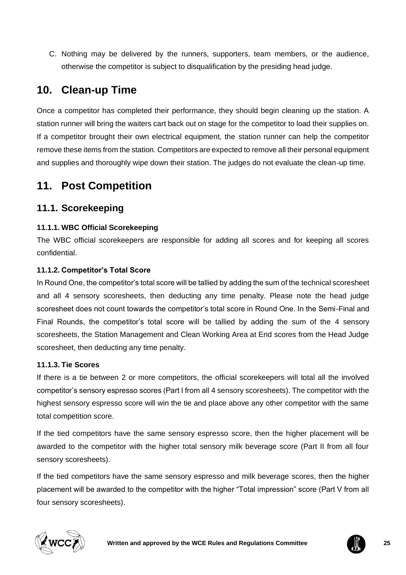C. Nothing may be delivered by the runners, supporters, team members, or the audience, otherwise the competitor is subject to disqualification by the presiding head judge.

# <span id="page-24-0"></span>**10. Clean-up Time**

Once a competitor has completed their performance, they should begin cleaning up the station. A station runner will bring the waiters cart back out on stage for the competitor to load their supplies on. If a competitor brought their own electrical equipment, the station runner can help the competitor remove these items from the station. Competitors are expected to remove all their personal equipment and supplies and thoroughly wipe down their station. The judges do not evaluate the clean-up time.

# <span id="page-24-1"></span>**11. Post Competition**

# <span id="page-24-2"></span>**11.1. Scorekeeping**

### **11.1.1. WBC Official Scorekeeping**

The WBC official scorekeepers are responsible for adding all scores and for keeping all scores confidential.

### **11.1.2. Competitor's Total Score**

In Round One, the competitor's total score will be tallied by adding the sum of the technical scoresheet and all 4 sensory scoresheets, then deducting any time penalty. Please note the head judge scoresheet does not count towards the competitor's total score in Round One. In the Semi-Final and Final Rounds, the competitor's total score will be tallied by adding the sum of the 4 sensory scoresheets, the Station Management and Clean Working Area at End scores from the Head Judge scoresheet, then deducting any time penalty.

### **11.1.3. Tie Scores**

If there is a tie between 2 or more competitors, the official scorekeepers will total all the involved competitor's sensory espresso scores (Part I from all 4 sensory scoresheets). The competitor with the highest sensory espresso score will win the tie and place above any other competitor with the same total competition score.

If the tied competitors have the same sensory espresso score, then the higher placement will be awarded to the competitor with the higher total sensory milk beverage score (Part II from all four sensory scoresheets).

If the tied competitors have the same sensory espresso and milk beverage scores, then the higher placement will be awarded to the competitor with the higher "Total impression" score (Part V from all four sensory scoresheets).



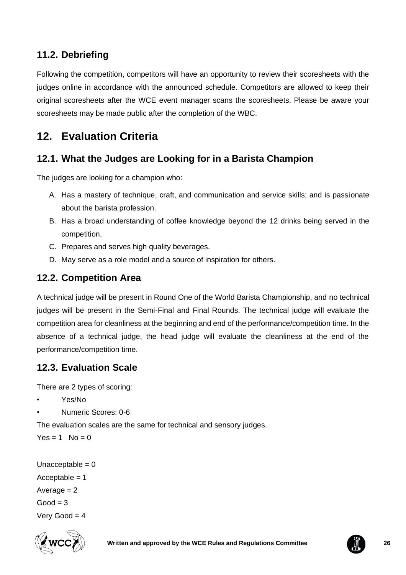# <span id="page-25-0"></span>**11.2. Debriefing**

Following the competition, competitors will have an opportunity to review their scoresheets with the judges online in accordance with the announced schedule. Competitors are allowed to keep their original scoresheets after the WCE event manager scans the scoresheets. Please be aware your scoresheets may be made public after the completion of the WBC.

# <span id="page-25-1"></span>**12. Evaluation Criteria**

# <span id="page-25-2"></span>**12.1. What the Judges are Looking for in a Barista Champion**

The judges are looking for a champion who:

- A. Has a mastery of technique, craft, and communication and service skills; and is passionate about the barista profession.
- B. Has a broad understanding of coffee knowledge beyond the 12 drinks being served in the competition.
- C. Prepares and serves high quality beverages.
- D. May serve as a role model and a source of inspiration for others.

# <span id="page-25-3"></span>**12.2. Competition Area**

A technical judge will be present in Round One of the World Barista Championship, and no technical judges will be present in the Semi-Final and Final Rounds. The technical judge will evaluate the competition area for cleanliness at the beginning and end of the performance/competition time. In the absence of a technical judge, the head judge will evaluate the cleanliness at the end of the performance/competition time.

# <span id="page-25-4"></span>**12.3. Evaluation Scale**

There are 2 types of scoring:

- Yes/No
- Numeric Scores: 0-6

The evaluation scales are the same for technical and sensory judges.

 $Yes = 1$  No = 0

```
Unacceptable = 0Acceptable = 1Average = 2Good = 3Very Good = 4
```


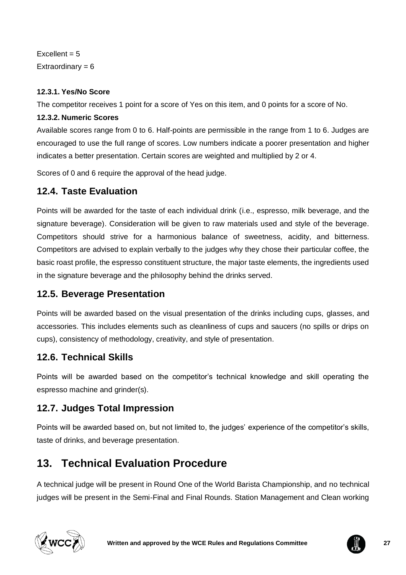$Excellent = 5$ Extraordinary  $= 6$ 

### **12.3.1. Yes/No Score**

The competitor receives 1 point for a score of Yes on this item, and 0 points for a score of No.

### **12.3.2. Numeric Scores**

Available scores range from 0 to 6. Half-points are permissible in the range from 1 to 6. Judges are encouraged to use the full range of scores. Low numbers indicate a poorer presentation and higher indicates a better presentation. Certain scores are weighted and multiplied by 2 or 4.

Scores of 0 and 6 require the approval of the head judge.

# <span id="page-26-0"></span>**12.4. Taste Evaluation**

Points will be awarded for the taste of each individual drink (i.e., espresso, milk beverage, and the signature beverage). Consideration will be given to raw materials used and style of the beverage. Competitors should strive for a harmonious balance of sweetness, acidity, and bitterness. Competitors are advised to explain verbally to the judges why they chose their particular coffee, the basic roast profile, the espresso constituent structure, the major taste elements, the ingredients used in the signature beverage and the philosophy behind the drinks served.

# <span id="page-26-1"></span>**12.5. Beverage Presentation**

Points will be awarded based on the visual presentation of the drinks including cups, glasses, and accessories. This includes elements such as cleanliness of cups and saucers (no spills or drips on cups), consistency of methodology, creativity, and style of presentation.

# <span id="page-26-2"></span>**12.6. Technical Skills**

Points will be awarded based on the competitor's technical knowledge and skill operating the espresso machine and grinder(s).

# <span id="page-26-3"></span>**12.7. Judges Total Impression**

Points will be awarded based on, but not limited to, the judges' experience of the competitor's skills, taste of drinks, and beverage presentation.

# <span id="page-26-4"></span>**13. Technical Evaluation Procedure**

A technical judge will be present in Round One of the World Barista Championship, and no technical judges will be present in the Semi-Final and Final Rounds. Station Management and Clean working



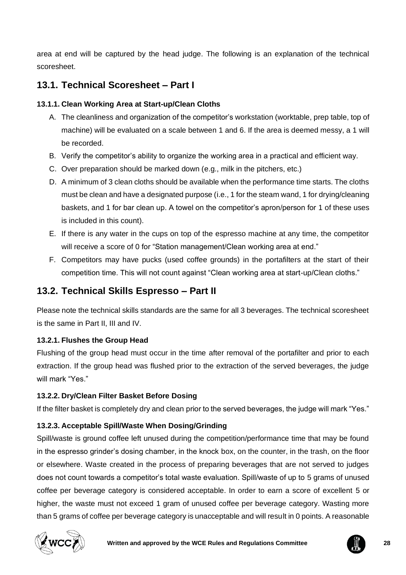area at end will be captured by the head judge. The following is an explanation of the technical scoresheet.

# <span id="page-27-0"></span>**13.1. Technical Scoresheet – Part I**

### **13.1.1. Clean Working Area at Start-up/Clean Cloths**

- A. The cleanliness and organization of the competitor's workstation (worktable, prep table, top of machine) will be evaluated on a scale between 1 and 6. If the area is deemed messy, a 1 will be recorded.
- B. Verify the competitor's ability to organize the working area in a practical and efficient way.
- C. Over preparation should be marked down (e.g., milk in the pitchers, etc.)
- D. A minimum of 3 clean cloths should be available when the performance time starts. The cloths must be clean and have a designated purpose (i.e., 1 for the steam wand, 1 for drying/cleaning baskets, and 1 for bar clean up. A towel on the competitor's apron/person for 1 of these uses is included in this count).
- E. If there is any water in the cups on top of the espresso machine at any time, the competitor will receive a score of 0 for "Station management/Clean working area at end."
- F. Competitors may have pucks (used coffee grounds) in the portafilters at the start of their competition time. This will not count against "Clean working area at start-up/Clean cloths."

# <span id="page-27-1"></span>**13.2. Technical Skills Espresso – Part II**

Please note the technical skills standards are the same for all 3 beverages. The technical scoresheet is the same in Part II, III and IV.

### **13.2.1. Flushes the Group Head**

Flushing of the group head must occur in the time after removal of the portafilter and prior to each extraction. If the group head was flushed prior to the extraction of the served beverages, the judge will mark "Yes."

### **13.2.2. Dry/Clean Filter Basket Before Dosing**

If the filter basket is completely dry and clean prior to the served beverages, the judge will mark "Yes."

### **13.2.3. Acceptable Spill/Waste When Dosing/Grinding**

Spill/waste is ground coffee left unused during the competition/performance time that may be found in the espresso grinder's dosing chamber, in the knock box, on the counter, in the trash, on the floor or elsewhere. Waste created in the process of preparing beverages that are not served to judges does not count towards a competitor's total waste evaluation. Spill/waste of up to 5 grams of unused coffee per beverage category is considered acceptable. In order to earn a score of excellent 5 or higher, the waste must not exceed 1 gram of unused coffee per beverage category. Wasting more than 5 grams of coffee per beverage category is unacceptable and will result in 0 points. A reasonable



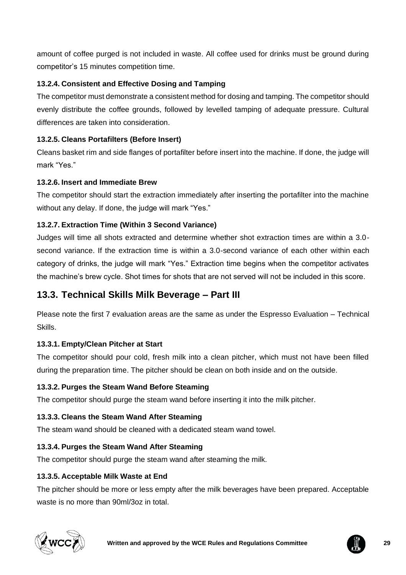amount of coffee purged is not included in waste. All coffee used for drinks must be ground during competitor's 15 minutes competition time.

### **13.2.4. Consistent and Effective Dosing and Tamping**

The competitor must demonstrate a consistent method for dosing and tamping. The competitor should evenly distribute the coffee grounds, followed by levelled tamping of adequate pressure. Cultural differences are taken into consideration.

### **13.2.5. Cleans Portafilters (Before Insert)**

Cleans basket rim and side flanges of portafilter before insert into the machine. If done, the judge will mark "Yes."

### **13.2.6. Insert and Immediate Brew**

The competitor should start the extraction immediately after inserting the portafilter into the machine without any delay. If done, the judge will mark "Yes."

### **13.2.7. Extraction Time (Within 3 Second Variance)**

Judges will time all shots extracted and determine whether shot extraction times are within a 3.0 second variance. If the extraction time is within a 3.0-second variance of each other within each category of drinks, the judge will mark "Yes." Extraction time begins when the competitor activates the machine's brew cycle. Shot times for shots that are not served will not be included in this score.

# <span id="page-28-0"></span>**13.3. Technical Skills Milk Beverage – Part III**

Please note the first 7 evaluation areas are the same as under the Espresso Evaluation – Technical Skills.

### **13.3.1. Empty/Clean Pitcher at Start**

The competitor should pour cold, fresh milk into a clean pitcher, which must not have been filled during the preparation time. The pitcher should be clean on both inside and on the outside.

### **13.3.2. Purges the Steam Wand Before Steaming**

The competitor should purge the steam wand before inserting it into the milk pitcher.

### **13.3.3. Cleans the Steam Wand After Steaming**

The steam wand should be cleaned with a dedicated steam wand towel.

### **13.3.4. Purges the Steam Wand After Steaming**

The competitor should purge the steam wand after steaming the milk.

### **13.3.5. Acceptable Milk Waste at End**

The pitcher should be more or less empty after the milk beverages have been prepared. Acceptable waste is no more than 90ml/3oz in total.



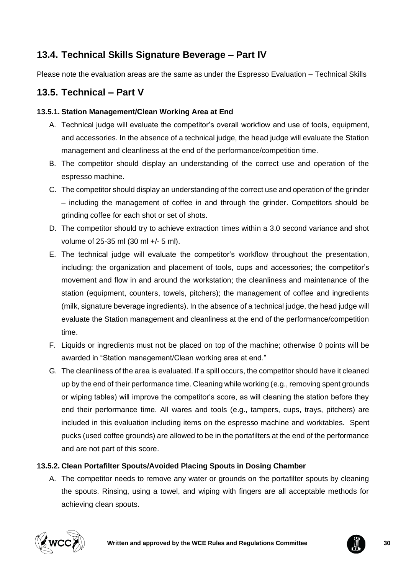# <span id="page-29-0"></span>**13.4. Technical Skills Signature Beverage – Part IV**

Please note the evaluation areas are the same as under the Espresso Evaluation – Technical Skills

# <span id="page-29-1"></span>**13.5. Technical – Part V**

### **13.5.1. Station Management/Clean Working Area at End**

- A. Technical judge will evaluate the competitor's overall workflow and use of tools, equipment, and accessories. In the absence of a technical judge, the head judge will evaluate the Station management and cleanliness at the end of the performance/competition time.
- B. The competitor should display an understanding of the correct use and operation of the espresso machine.
- C. The competitor should display an understanding of the correct use and operation of the grinder – including the management of coffee in and through the grinder. Competitors should be grinding coffee for each shot or set of shots.
- D. The competitor should try to achieve extraction times within a 3.0 second variance and shot volume of 25-35 ml (30 ml +/- 5 ml).
- E. The technical judge will evaluate the competitor's workflow throughout the presentation, including: the organization and placement of tools, cups and accessories; the competitor's movement and flow in and around the workstation; the cleanliness and maintenance of the station (equipment, counters, towels, pitchers); the management of coffee and ingredients (milk, signature beverage ingredients). In the absence of a technical judge, the head judge will evaluate the Station management and cleanliness at the end of the performance/competition time.
- F. Liquids or ingredients must not be placed on top of the machine; otherwise 0 points will be awarded in "Station management/Clean working area at end."
- G. The cleanliness of the area is evaluated. If a spill occurs, the competitor should have it cleaned up by the end of their performance time. Cleaning while working (e.g., removing spent grounds or wiping tables) will improve the competitor's score, as will cleaning the station before they end their performance time. All wares and tools (e.g., tampers, cups, trays, pitchers) are included in this evaluation including items on the espresso machine and worktables. Spent pucks (used coffee grounds) are allowed to be in the portafilters at the end of the performance and are not part of this score.

### **13.5.2. Clean Portafilter Spouts/Avoided Placing Spouts in Dosing Chamber**

A. The competitor needs to remove any water or grounds on the portafilter spouts by cleaning the spouts. Rinsing, using a towel, and wiping with fingers are all acceptable methods for achieving clean spouts.



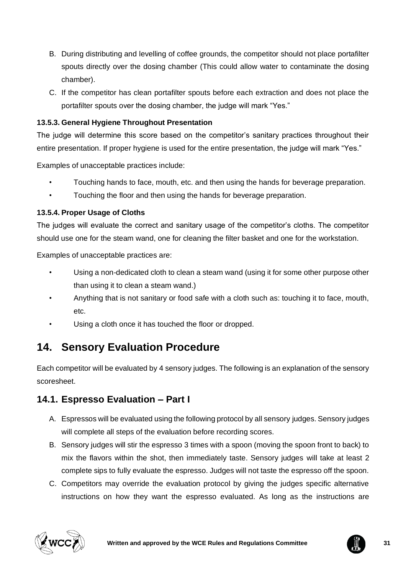- B. During distributing and levelling of coffee grounds, the competitor should not place portafilter spouts directly over the dosing chamber (This could allow water to contaminate the dosing chamber).
- C. If the competitor has clean portafilter spouts before each extraction and does not place the portafilter spouts over the dosing chamber, the judge will mark "Yes."

### **13.5.3. General Hygiene Throughout Presentation**

The judge will determine this score based on the competitor's sanitary practices throughout their entire presentation. If proper hygiene is used for the entire presentation, the judge will mark "Yes."

Examples of unacceptable practices include:

- Touching hands to face, mouth, etc. and then using the hands for beverage preparation.
- Touching the floor and then using the hands for beverage preparation.

### **13.5.4. Proper Usage of Cloths**

The judges will evaluate the correct and sanitary usage of the competitor's cloths. The competitor should use one for the steam wand, one for cleaning the filter basket and one for the workstation.

Examples of unacceptable practices are:

- Using a non-dedicated cloth to clean a steam wand (using it for some other purpose other than using it to clean a steam wand.)
- Anything that is not sanitary or food safe with a cloth such as: touching it to face, mouth, etc.
- Using a cloth once it has touched the floor or dropped.

# <span id="page-30-0"></span>**14. Sensory Evaluation Procedure**

Each competitor will be evaluated by 4 sensory judges. The following is an explanation of the sensory scoresheet.

# <span id="page-30-1"></span>**14.1. Espresso Evaluation – Part I**

- A. Espressos will be evaluated using the following protocol by all sensory judges. Sensory judges will complete all steps of the evaluation before recording scores.
- B. Sensory judges will stir the espresso 3 times with a spoon (moving the spoon front to back) to mix the flavors within the shot, then immediately taste. Sensory judges will take at least 2 complete sips to fully evaluate the espresso. Judges will not taste the espresso off the spoon.
- C. Competitors may override the evaluation protocol by giving the judges specific alternative instructions on how they want the espresso evaluated. As long as the instructions are



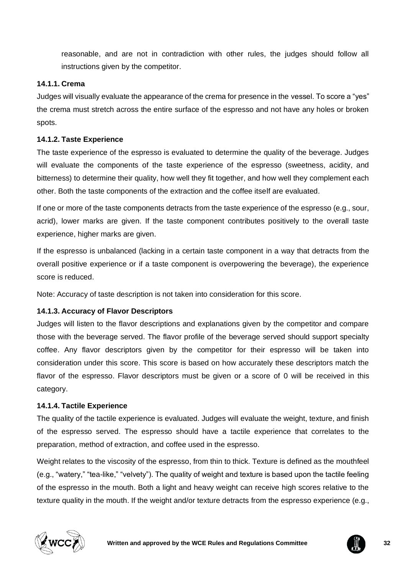reasonable, and are not in contradiction with other rules, the judges should follow all instructions given by the competitor.

#### **14.1.1. Crema**

Judges will visually evaluate the appearance of the crema for presence in the vessel. To score a "yes" the crema must stretch across the entire surface of the espresso and not have any holes or broken spots.

#### **14.1.2. Taste Experience**

The taste experience of the espresso is evaluated to determine the quality of the beverage. Judges will evaluate the components of the taste experience of the espresso (sweetness, acidity, and bitterness) to determine their quality, how well they fit together, and how well they complement each other. Both the taste components of the extraction and the coffee itself are evaluated.

If one or more of the taste components detracts from the taste experience of the espresso (e.g., sour, acrid), lower marks are given. If the taste component contributes positively to the overall taste experience, higher marks are given.

If the espresso is unbalanced (lacking in a certain taste component in a way that detracts from the overall positive experience or if a taste component is overpowering the beverage), the experience score is reduced.

Note: Accuracy of taste description is not taken into consideration for this score.

### **14.1.3. Accuracy of Flavor Descriptors**

Judges will listen to the flavor descriptions and explanations given by the competitor and compare those with the beverage served. The flavor profile of the beverage served should support specialty coffee. Any flavor descriptors given by the competitor for their espresso will be taken into consideration under this score. This score is based on how accurately these descriptors match the flavor of the espresso. Flavor descriptors must be given or a score of 0 will be received in this category.

#### **14.1.4. Tactile Experience**

The quality of the tactile experience is evaluated. Judges will evaluate the weight, texture, and finish of the espresso served. The espresso should have a tactile experience that correlates to the preparation, method of extraction, and coffee used in the espresso.

Weight relates to the viscosity of the espresso, from thin to thick. Texture is defined as the mouthfeel (e.g., "watery," "tea-like," "velvety"). The quality of weight and texture is based upon the tactile feeling of the espresso in the mouth. Both a light and heavy weight can receive high scores relative to the texture quality in the mouth. If the weight and/or texture detracts from the espresso experience (e.g.,



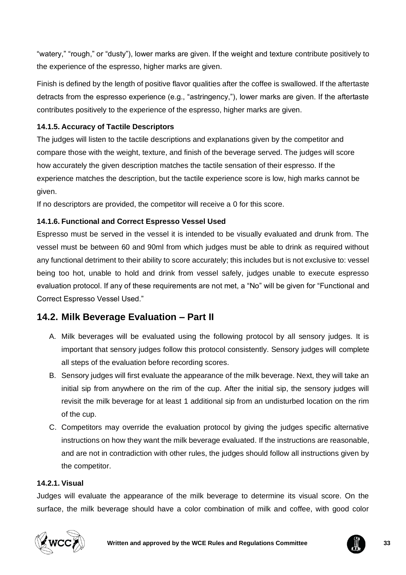"watery," "rough," or "dusty"), lower marks are given. If the weight and texture contribute positively to the experience of the espresso, higher marks are given.

Finish is defined by the length of positive flavor qualities after the coffee is swallowed. If the aftertaste detracts from the espresso experience (e.g., "astringency,"), lower marks are given. If the aftertaste contributes positively to the experience of the espresso, higher marks are given.

### **14.1.5. Accuracy of Tactile Descriptors**

The judges will listen to the tactile descriptions and explanations given by the competitor and compare those with the weight, texture, and finish of the beverage served. The judges will score how accurately the given description matches the tactile sensation of their espresso. If the experience matches the description, but the tactile experience score is low, high marks cannot be given.

If no descriptors are provided, the competitor will receive a 0 for this score.

### **14.1.6. Functional and Correct Espresso Vessel Used**

Espresso must be served in the vessel it is intended to be visually evaluated and drunk from. The vessel must be between 60 and 90ml from which judges must be able to drink as required without any functional detriment to their ability to score accurately; this includes but is not exclusive to: vessel being too hot, unable to hold and drink from vessel safely, judges unable to execute espresso evaluation protocol. If any of these requirements are not met, a "No" will be given for "Functional and Correct Espresso Vessel Used."

# <span id="page-32-0"></span>**14.2. Milk Beverage Evaluation – Part II**

- A. Milk beverages will be evaluated using the following protocol by all sensory judges. It is important that sensory judges follow this protocol consistently. Sensory judges will complete all steps of the evaluation before recording scores.
- B. Sensory judges will first evaluate the appearance of the milk beverage. Next, they will take an initial sip from anywhere on the rim of the cup. After the initial sip, the sensory judges will revisit the milk beverage for at least 1 additional sip from an undisturbed location on the rim of the cup.
- C. Competitors may override the evaluation protocol by giving the judges specific alternative instructions on how they want the milk beverage evaluated. If the instructions are reasonable, and are not in contradiction with other rules, the judges should follow all instructions given by the competitor.

#### **14.2.1. Visual**

Judges will evaluate the appearance of the milk beverage to determine its visual score. On the surface, the milk beverage should have a color combination of milk and coffee, with good color



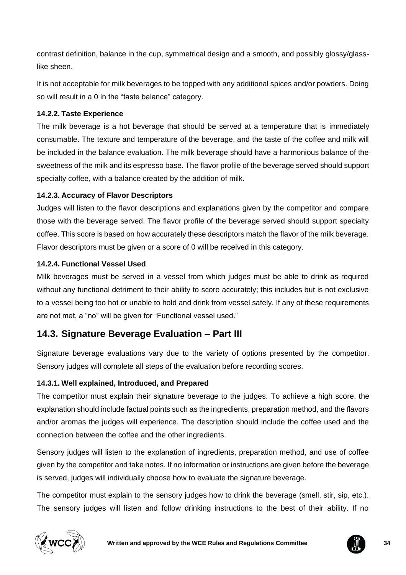contrast definition, balance in the cup, symmetrical design and a smooth, and possibly glossy/glasslike sheen.

It is not acceptable for milk beverages to be topped with any additional spices and/or powders. Doing so will result in a 0 in the "taste balance" category.

### **14.2.2. Taste Experience**

The milk beverage is a hot beverage that should be served at a temperature that is immediately consumable. The texture and temperature of the beverage, and the taste of the coffee and milk will be included in the balance evaluation. The milk beverage should have a harmonious balance of the sweetness of the milk and its espresso base. The flavor profile of the beverage served should support specialty coffee, with a balance created by the addition of milk.

### **14.2.3. Accuracy of Flavor Descriptors**

Judges will listen to the flavor descriptions and explanations given by the competitor and compare those with the beverage served. The flavor profile of the beverage served should support specialty coffee. This score is based on how accurately these descriptors match the flavor of the milk beverage. Flavor descriptors must be given or a score of 0 will be received in this category.

### **14.2.4. Functional Vessel Used**

Milk beverages must be served in a vessel from which judges must be able to drink as required without any functional detriment to their ability to score accurately; this includes but is not exclusive to a vessel being too hot or unable to hold and drink from vessel safely. If any of these requirements are not met, a "no" will be given for "Functional vessel used."

# <span id="page-33-0"></span>**14.3. Signature Beverage Evaluation – Part III**

Signature beverage evaluations vary due to the variety of options presented by the competitor. Sensory judges will complete all steps of the evaluation before recording scores.

### **14.3.1. Well explained, Introduced, and Prepared**

The competitor must explain their signature beverage to the judges. To achieve a high score, the explanation should include factual points such as the ingredients, preparation method, and the flavors and/or aromas the judges will experience. The description should include the coffee used and the connection between the coffee and the other ingredients.

Sensory judges will listen to the explanation of ingredients, preparation method, and use of coffee given by the competitor and take notes. If no information or instructions are given before the beverage is served, judges will individually choose how to evaluate the signature beverage.

The competitor must explain to the sensory judges how to drink the beverage (smell, stir, sip, etc.). The sensory judges will listen and follow drinking instructions to the best of their ability. If no



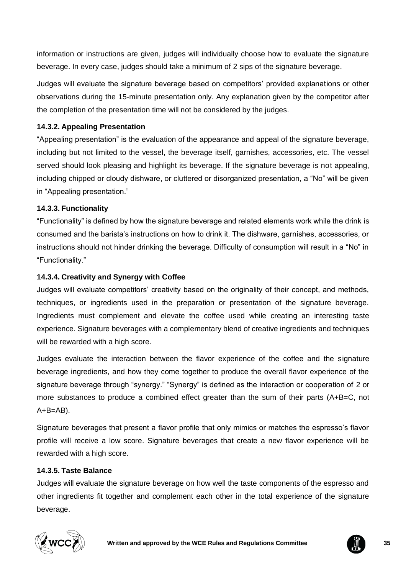information or instructions are given, judges will individually choose how to evaluate the signature beverage. In every case, judges should take a minimum of 2 sips of the signature beverage.

Judges will evaluate the signature beverage based on competitors' provided explanations or other observations during the 15-minute presentation only. Any explanation given by the competitor after the completion of the presentation time will not be considered by the judges.

### **14.3.2. Appealing Presentation**

"Appealing presentation" is the evaluation of the appearance and appeal of the signature beverage, including but not limited to the vessel, the beverage itself, garnishes, accessories, etc. The vessel served should look pleasing and highlight its beverage. If the signature beverage is not appealing, including chipped or cloudy dishware, or cluttered or disorganized presentation, a "No" will be given in "Appealing presentation."

#### **14.3.3. Functionality**

"Functionality" is defined by how the signature beverage and related elements work while the drink is consumed and the barista's instructions on how to drink it. The dishware, garnishes, accessories, or instructions should not hinder drinking the beverage. Difficulty of consumption will result in a "No" in "Functionality."

#### **14.3.4. Creativity and Synergy with Coffee**

Judges will evaluate competitors' creativity based on the originality of their concept, and methods, techniques, or ingredients used in the preparation or presentation of the signature beverage. Ingredients must complement and elevate the coffee used while creating an interesting taste experience. Signature beverages with a complementary blend of creative ingredients and techniques will be rewarded with a high score.

Judges evaluate the interaction between the flavor experience of the coffee and the signature beverage ingredients, and how they come together to produce the overall flavor experience of the signature beverage through "synergy." "Synergy" is defined as the interaction or cooperation of 2 or more substances to produce a combined effect greater than the sum of their parts (A+B=C, not  $A + B = AB$ ).

Signature beverages that present a flavor profile that only mimics or matches the espresso's flavor profile will receive a low score. Signature beverages that create a new flavor experience will be rewarded with a high score.

#### **14.3.5. Taste Balance**

Judges will evaluate the signature beverage on how well the taste components of the espresso and other ingredients fit together and complement each other in the total experience of the signature beverage.



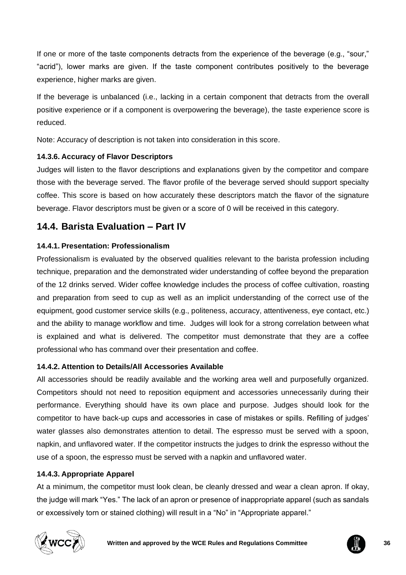If one or more of the taste components detracts from the experience of the beverage (e.g., "sour," "acrid"), lower marks are given. If the taste component contributes positively to the beverage experience, higher marks are given.

If the beverage is unbalanced (i.e., lacking in a certain component that detracts from the overall positive experience or if a component is overpowering the beverage), the taste experience score is reduced.

Note: Accuracy of description is not taken into consideration in this score.

### **14.3.6. Accuracy of Flavor Descriptors**

Judges will listen to the flavor descriptions and explanations given by the competitor and compare those with the beverage served. The flavor profile of the beverage served should support specialty coffee. This score is based on how accurately these descriptors match the flavor of the signature beverage. Flavor descriptors must be given or a score of 0 will be received in this category.

# <span id="page-35-0"></span>**14.4. Barista Evaluation – Part IV**

### **14.4.1. Presentation: Professionalism**

Professionalism is evaluated by the observed qualities relevant to the barista profession including technique, preparation and the demonstrated wider understanding of coffee beyond the preparation of the 12 drinks served. Wider coffee knowledge includes the process of coffee cultivation, roasting and preparation from seed to cup as well as an implicit understanding of the correct use of the equipment, good customer service skills (e.g., politeness, accuracy, attentiveness, eye contact, etc.) and the ability to manage workflow and time. Judges will look for a strong correlation between what is explained and what is delivered. The competitor must demonstrate that they are a coffee professional who has command over their presentation and coffee.

### **14.4.2. Attention to Details/All Accessories Available**

All accessories should be readily available and the working area well and purposefully organized. Competitors should not need to reposition equipment and accessories unnecessarily during their performance. Everything should have its own place and purpose. Judges should look for the competitor to have back-up cups and accessories in case of mistakes or spills. Refilling of judges' water glasses also demonstrates attention to detail. The espresso must be served with a spoon, napkin, and unflavored water. If the competitor instructs the judges to drink the espresso without the use of a spoon, the espresso must be served with a napkin and unflavored water.

### **14.4.3. Appropriate Apparel**

At a minimum, the competitor must look clean, be cleanly dressed and wear a clean apron. If okay, the judge will mark "Yes." The lack of an apron or presence of inappropriate apparel (such as sandals or excessively torn or stained clothing) will result in a "No" in "Appropriate apparel."



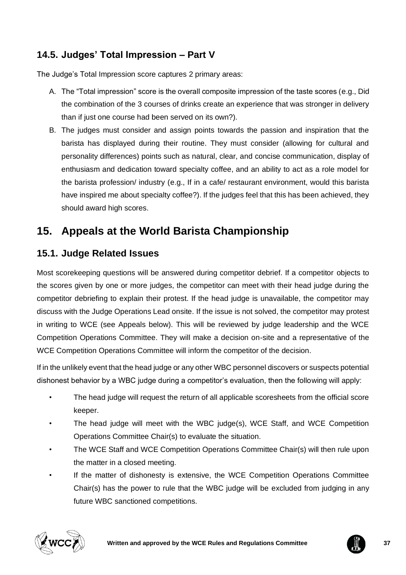# <span id="page-36-0"></span>**14.5. Judges' Total Impression – Part V**

The Judge's Total Impression score captures 2 primary areas:

- A. The "Total impression" score is the overall composite impression of the taste scores (e.g., Did the combination of the 3 courses of drinks create an experience that was stronger in delivery than if just one course had been served on its own?).
- B. The judges must consider and assign points towards the passion and inspiration that the barista has displayed during their routine. They must consider (allowing for cultural and personality differences) points such as natural, clear, and concise communication, display of enthusiasm and dedication toward specialty coffee, and an ability to act as a role model for the barista profession/ industry (e.g., If in a cafe/ restaurant environment, would this barista have inspired me about specialty coffee?). If the judges feel that this has been achieved, they should award high scores.

# <span id="page-36-1"></span>**15. Appeals at the World Barista Championship**

# <span id="page-36-2"></span>**15.1. Judge Related Issues**

Most scorekeeping questions will be answered during competitor debrief. If a competitor objects to the scores given by one or more judges, the competitor can meet with their head judge during the competitor debriefing to explain their protest. If the head judge is unavailable, the competitor may discuss with the Judge Operations Lead onsite. If the issue is not solved, the competitor may protest in writing to WCE (see Appeals below). This will be reviewed by judge leadership and the WCE Competition Operations Committee. They will make a decision on-site and a representative of the WCE Competition Operations Committee will inform the competitor of the decision.

If in the unlikely event that the head judge or any other WBC personnel discovers or suspects potential dishonest behavior by a WBC judge during a competitor's evaluation, then the following will apply:

- The head judge will request the return of all applicable scoresheets from the official score keeper.
- The head judge will meet with the WBC judge(s), WCE Staff, and WCE Competition Operations Committee Chair(s) to evaluate the situation.
- The WCE Staff and WCE Competition Operations Committee Chair(s) will then rule upon the matter in a closed meeting.
- If the matter of dishonesty is extensive, the WCE Competition Operations Committee Chair(s) has the power to rule that the WBC judge will be excluded from judging in any future WBC sanctioned competitions.



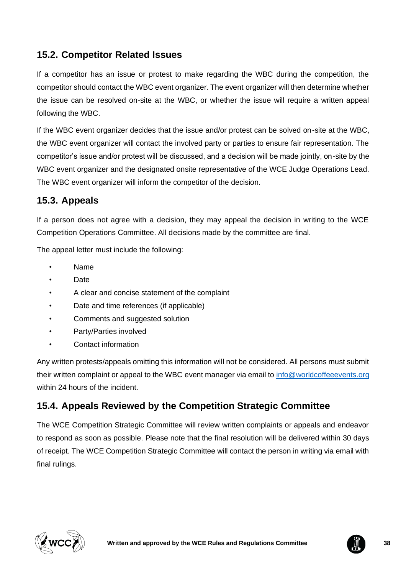# <span id="page-37-0"></span>**15.2. Competitor Related Issues**

If a competitor has an issue or protest to make regarding the WBC during the competition, the competitor should contact the WBC event organizer. The event organizer will then determine whether the issue can be resolved on-site at the WBC, or whether the issue will require a written appeal following the WBC.

If the WBC event organizer decides that the issue and/or protest can be solved on-site at the WBC, the WBC event organizer will contact the involved party or parties to ensure fair representation. The competitor's issue and/or protest will be discussed, and a decision will be made jointly, on-site by the WBC event organizer and the designated onsite representative of the WCE Judge Operations Lead. The WBC event organizer will inform the competitor of the decision.

# <span id="page-37-1"></span>**15.3. Appeals**

If a person does not agree with a decision, they may appeal the decision in writing to the WCE Competition Operations Committee. All decisions made by the committee are final.

The appeal letter must include the following:

- Name
- Date
- A clear and concise statement of the complaint
- Date and time references (if applicable)
- Comments and suggested solution
- Party/Parties involved
- Contact information

Any written protests/appeals omitting this information will not be considered. All persons must submit their written complaint or appeal to the WBC event manager via email to [info@worldcoffeeevents.org](mailto:info@worldcoffeeevents.org) within 24 hours of the incident.

# <span id="page-37-2"></span>**15.4. Appeals Reviewed by the Competition Strategic Committee**

The WCE Competition Strategic Committee will review written complaints or appeals and endeavor to respond as soon as possible. Please note that the final resolution will be delivered within 30 days of receipt. The WCE Competition Strategic Committee will contact the person in writing via email with final rulings.



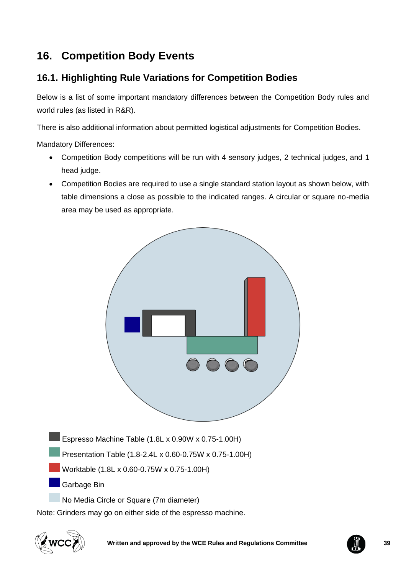# <span id="page-38-0"></span>**16. Competition Body Events**

# <span id="page-38-1"></span>**16.1. Highlighting Rule Variations for Competition Bodies**

Below is a list of some important mandatory differences between the Competition Body rules and world rules (as listed in R&R).

There is also additional information about permitted logistical adjustments for Competition Bodies.

Mandatory Differences:

- Competition Body competitions will be run with 4 sensory judges, 2 technical judges, and 1 head judge.
- Competition Bodies are required to use a single standard station layout as shown below, with table dimensions a close as possible to the indicated ranges. A circular or square no-media area may be used as appropriate.



No Media Circle or Square (7m diameter)

Note: Grinders may go on either side of the espresso machine.



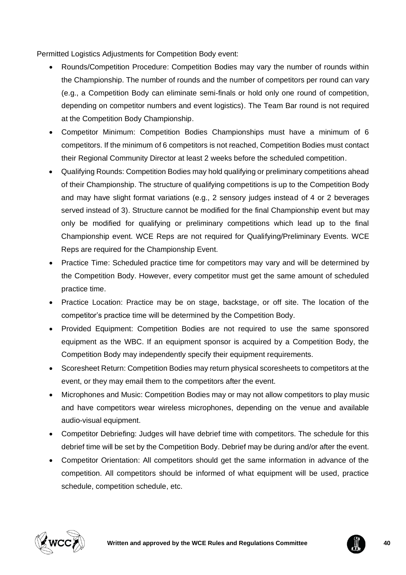Permitted Logistics Adjustments for Competition Body event:

- Rounds/Competition Procedure: Competition Bodies may vary the number of rounds within the Championship. The number of rounds and the number of competitors per round can vary (e.g., a Competition Body can eliminate semi-finals or hold only one round of competition, depending on competitor numbers and event logistics). The Team Bar round is not required at the Competition Body Championship.
- Competitor Minimum: Competition Bodies Championships must have a minimum of 6 competitors. If the minimum of 6 competitors is not reached, Competition Bodies must contact their Regional Community Director at least 2 weeks before the scheduled competition.
- Qualifying Rounds: Competition Bodies may hold qualifying or preliminary competitions ahead of their Championship. The structure of qualifying competitions is up to the Competition Body and may have slight format variations (e.g., 2 sensory judges instead of 4 or 2 beverages served instead of 3). Structure cannot be modified for the final Championship event but may only be modified for qualifying or preliminary competitions which lead up to the final Championship event. WCE Reps are not required for Qualifying/Preliminary Events. WCE Reps are required for the Championship Event.
- Practice Time: Scheduled practice time for competitors may vary and will be determined by the Competition Body. However, every competitor must get the same amount of scheduled practice time.
- Practice Location: Practice may be on stage, backstage, or off site. The location of the competitor's practice time will be determined by the Competition Body.
- Provided Equipment: Competition Bodies are not required to use the same sponsored equipment as the WBC. If an equipment sponsor is acquired by a Competition Body, the Competition Body may independently specify their equipment requirements.
- Scoresheet Return: Competition Bodies may return physical scoresheets to competitors at the event, or they may email them to the competitors after the event.
- Microphones and Music: Competition Bodies may or may not allow competitors to play music and have competitors wear wireless microphones, depending on the venue and available audio-visual equipment.
- Competitor Debriefing: Judges will have debrief time with competitors. The schedule for this debrief time will be set by the Competition Body. Debrief may be during and/or after the event.
- Competitor Orientation: All competitors should get the same information in advance of the competition. All competitors should be informed of what equipment will be used, practice schedule, competition schedule, etc.